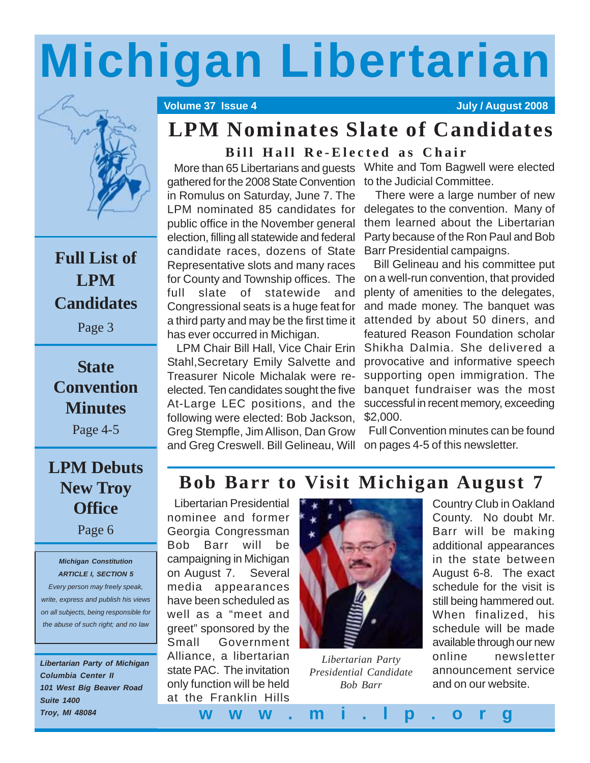# **Michigan Libertarian**



### **Full List of LPM Candidates**

Page 3

### **State Convention Minutes**

Page 4-5

### **LPM Debuts New Troy Office**

Page 6

#### *Michigan Constitution ARTICLE I, SECTION 5*

*Every person may freely speak, write, express and publish his views on all subjects, being responsible for the abuse of such right; and no law*

*Libertarian Party of Michigan Columbia Center II 101 West Big Beaver Road Suite 1400 Troy, MI 48084*

#### **Volume 37 Issue 4 July / August 2008**

### **LPM Nominates Slate of Candidates**

**Bill Hall Re-Elected as Chair**

gathered for the 2008 State Convention to the Judicial Committee. in Romulus on Saturday, June 7. The LPM nominated 85 candidates for public office in the November general election, filling all statewide and federal candidate races, dozens of State Representative slots and many races for County and Township offices. The full slate of statewide and Congressional seats is a huge feat for a third party and may be the first time it has ever occurred in Michigan.

 LPM Chair Bill Hall, Vice Chair Erin Stahl,Secretary Emily Salvette and Treasurer Nicole Michalak were reelected. Ten candidates sought the five At-Large LEC positions, and the following were elected: Bob Jackson, Greg Stempfle, Jim Allison, Dan Grow and Greg Creswell. Bill Gelineau, Will

More than 65 Libertarians and guests White and Tom Bagwell were elected

 There were a large number of new delegates to the convention. Many of them learned about the Libertarian Party because of the Ron Paul and Bob Barr Presidential campaigns.

 Bill Gelineau and his committee put on a well-run convention, that provided plenty of amenities to the delegates, and made money. The banquet was attended by about 50 diners, and featured Reason Foundation scholar Shikha Dalmia. She delivered a provocative and informative speech supporting open immigration. The banquet fundraiser was the most successful in recent memory, exceeding \$2,000.

 Full Convention minutes can be found on pages 4-5 of this newsletter.

### **Bob Barr to Visit Michigan August 7**

 Libertarian Presidential nominee and former Georgia Congressman Bob Barr will be campaigning in Michigan on August 7. Several media appearances have been scheduled as well as a "meet and greet" sponsored by the Small Government Alliance, a libertarian state PAC. The invitation only function will be held at the Franklin Hills



*Libertarian Party Presidential Candidate Bob Barr*

Country Club in Oakland County. No doubt Mr. Barr will be making additional appearances in the state between August 6-8. The exact schedule for the visit is still being hammered out. When finalized, his schedule will be made available through our new online newsletter announcement service and on our website.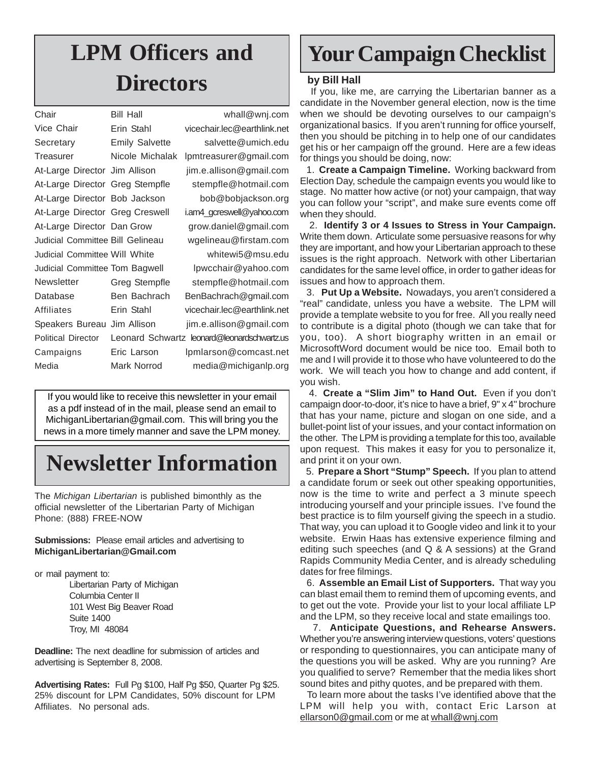### **LPM Officers and Directors**

| Chair                                | <b>Bill Hall</b>      | whall@wnj.com                               |
|--------------------------------------|-----------------------|---------------------------------------------|
| Vice Chair                           | Erin Stahl            | vicechair.lec@earthlink.net                 |
| Secretary                            | <b>Emily Salvette</b> | salvette@umich.edu                          |
| Treasurer                            | Nicole Michalak       | lpmtreasurer@gmail.com                      |
| At-Large Director Jim Allison        |                       | jim.e.allison@gmail.com                     |
| At-Large Director Greg Stempfle      |                       | stempfle@hotmail.com                        |
| At-Large Director Bob Jackson        |                       | bob@bobjackson.org                          |
| At-Large Director Greg Creswell      |                       | i.am4_gcreswell@yahoo.com                   |
| At-Large Director Dan Grow           |                       | grow.daniel@gmail.com                       |
| Judicial Committee Bill Gelineau     |                       | wgelineau@firstam.com                       |
| <b>Judicial Committee Will White</b> |                       | whitewi5@msu.edu                            |
| Judicial Committee Tom Bagwell       |                       | lpwcchair@yahoo.com                         |
| Newsletter                           | Greg Stempfle         | stempfle@hotmail.com                        |
| Database                             | Ben Bachrach          | BenBachrach@gmail.com                       |
| Affiliates                           | Erin Stahl            | vicechair.lec@earthlink.net                 |
| Speakers Bureau                      | Jim Allison           | jim.e.allison@gmail.com                     |
| <b>Political Director</b>            |                       | Leonard Schwartz leonard@leonardschwartz.us |
| Campaigns                            | Eric Larson           | Ipmlarson@comcast.net                       |
| Media                                | Mark Norrod           | media@michiganlp.org                        |
|                                      |                       |                                             |

If you would like to receive this newsletter in your email as a pdf instead of in the mail, please send an email to MichiganLibertarian@gmail.com. This will bring you the news in a more timely manner and save the LPM money.

### **Newsletter Information**

The *Michigan Libertarian* is published bimonthly as the official newsletter of the Libertarian Party of Michigan Phone: (888) FREE-NOW

#### **Submissions:** Please email articles and advertising to **MichiganLibertarian@Gmail.com**

or mail payment to:

Libertarian Party of Michigan Columbia Center II 101 West Big Beaver Road Suite 1400 Troy, MI 48084

**Deadline:** The next deadline for submission of articles and advertising is September 8, 2008.

**Advertising Rates:** Full Pg \$100, Half Pg \$50, Quarter Pg \$25. 25% discount for LPM Candidates, 50% discount for LPM Affiliates. No personal ads.

### **Your Campaign Checklist**

#### **by Bill Hall**

 If you, like me, are carrying the Libertarian banner as a candidate in the November general election, now is the time when we should be devoting ourselves to our campaign's organizational basics. If you aren't running for office yourself, then you should be pitching in to help one of our candidates get his or her campaign off the ground. Here are a few ideas for things you should be doing, now:

 1. **Create a Campaign Timeline.** Working backward from Election Day, schedule the campaign events you would like to stage. No matter how active (or not) your campaign, that way you can follow your "script", and make sure events come off when they should.

 2. **Identify 3 or 4 Issues to Stress in Your Campaign.** Write them down. Articulate some persuasive reasons for why they are important, and how your Libertarian approach to these issues is the right approach. Network with other Libertarian candidates for the same level office, in order to gather ideas for issues and how to approach them.

 3. **Put Up a Website.** Nowadays, you aren't considered a "real" candidate, unless you have a website. The LPM will provide a template website to you for free. All you really need to contribute is a digital photo (though we can take that for you, too). A short biography written in an email or MicrosoftWord document would be nice too. Email both to me and I will provide it to those who have volunteered to do the work. We will teach you how to change and add content, if you wish.

 4. **Create a "Slim Jim" to Hand Out.** Even if you don't campaign door-to-door, it's nice to have a brief, 9" x 4" brochure that has your name, picture and slogan on one side, and a bullet-point list of your issues, and your contact information on the other. The LPM is providing a template for this too, available upon request. This makes it easy for you to personalize it, and print it on your own.

 5. **Prepare a Short "Stump" Speech.** If you plan to attend a candidate forum or seek out other speaking opportunities, now is the time to write and perfect a 3 minute speech introducing yourself and your principle issues. I've found the best practice is to film yourself giving the speech in a studio. That way, you can upload it to Google video and link it to your website. Erwin Haas has extensive experience filming and editing such speeches (and Q & A sessions) at the Grand Rapids Community Media Center, and is already scheduling dates for free filmings.

 6. **Assemble an Email List of Supporters.** That way you can blast email them to remind them of upcoming events, and to get out the vote. Provide your list to your local affiliate LP and the LPM, so they receive local and state emailings too.

 7. **Anticipate Questions, and Rehearse Answers.** Whether you're answering interview questions, voters' questions or responding to questionnaires, you can anticipate many of the questions you will be asked. Why are you running? Are you qualified to serve? Remember that the media likes short sound bites and pithy quotes, and be prepared with them.

 To learn more about the tasks I've identified above that the LPM will help you with, contact Eric Larson at ellarson0@gmail.com or me at whall@wnj.com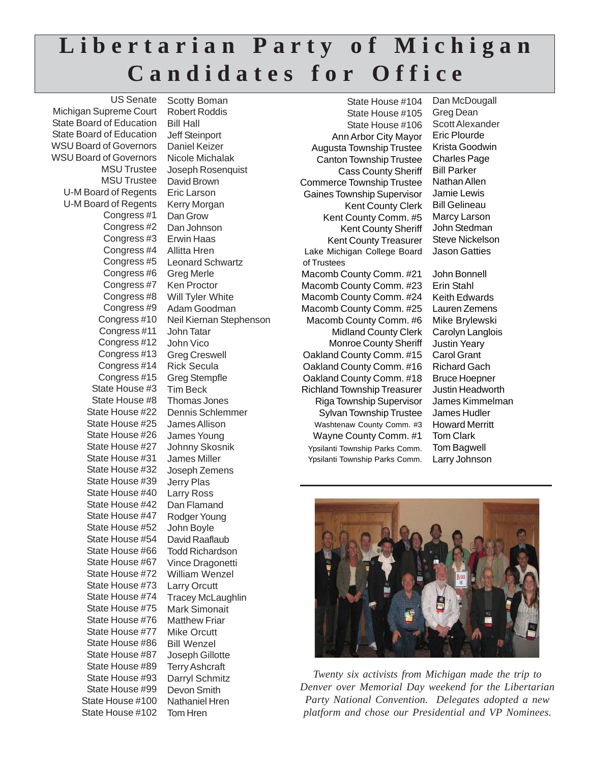### **Libertarian Party of Michigan Candidates for Office**

MSU Trustee David Brown U-M Board of Regents Eric Larson U-M Board of Regents Kerry Morgan Tom Hren US Senate Michigan Supreme Court State Board of Education State Board of Education WSU Board of Governors WSU Board of Governors MSU Trustee Congress #1 Congress #2 Congress #3 Congress #4 Congress #5 Congress #6 Congress #7 Congress #8 Congress #9 Congress #10 Congress #11 Congress #12 Congress #13 Congress #14 Congress #15 State House #3 State House #8 State House #22 State House #25 State House #26 State House #27 State House #31 State House #32 State House #39 State House #40 State House #42 State House #47 State House #52 State House #54 State House #66 State House #67 State House #72 State House #73 State House #74 State House #75 State House #76 State House #77 State House #86 State House #87 State House #89 State House #93 State House #99 State House #100 State House #102

Scotty Boman Robert Roddis Bill Hall Jeff Steinport Daniel Keizer Nicole Michalak Joseph Rosenquist Dan Grow Dan Johnson Erwin Haas Allitta Hren Leonard Schwartz Greg Merle Ken Proctor Will Tyler White Adam Goodman Neil Kiernan Stephenson John Tatar John Vico Greg Creswell Rick Secula Greg Stempfle Tim Beck Thomas Jones Dennis Schlemmer James Allison James Young Johnny Skosnik James Miller Joseph Zemens Jerry Plas Larry Ross Dan Flamand Rodger Young John Boyle David Raaflaub Todd Richardson Vince Dragonetti William Wenzel Larry Orcutt Tracey McLaughlin Mark Simonait Matthew Friar Mike Orcutt Bill Wenzel Joseph Gillotte Terry Ashcraft Darryl Schmitz Devon Smith Nathaniel Hren

State House #104 State House #105 State House #106 Ann Arbor City Mayor Augusta Township Trustee Canton Township Trustee Cass County Sheriff Commerce Township Trustee Gaines Township Supervisor Kent County Clerk Kent County Comm. #5 Kent County Sheriff Kent County Treasurer Lake Michigan College Board of Trustees Macomb County Comm. #21 Macomb County Comm. #23 Macomb County Comm. #24 Macomb County Comm. #25 Macomb County Comm. #6 Midland County Clerk Monroe County Sheriff Oakland County Comm. #15 Oakland County Comm. #16 Oakland County Comm. #18 Richland Township Treasurer Riga Township Supervisor Sylvan Township Trustee Washtenaw County Comm. #3 Wayne County Comm. #1 Ypsilanti Township Parks Comm. Ypsilanti Township Parks Comm.

Dan McDougall Greg Dean Scott Alexander Eric Plourde Krista Goodwin Charles Page Bill Parker Nathan Allen Jamie Lewis Bill Gelineau Marcy Larson John Stedman Steve Nickelson Jason Gatties

John Bonnell Erin Stahl Keith Edwards Lauren Zemens Mike Brylewski Carolyn Langlois Justin Yeary Carol Grant Richard Gach Bruce Hoepner Justin Headworth James Kimmelman James Hudler Howard Merritt Tom Clark Tom Bagwell Larry Johnson



*Twenty six activists from Michigan made the trip to Denver over Memorial Day weekend for the Libertarian Party National Convention. Delegates adopted a new platform and chose our Presidential and VP Nominees.*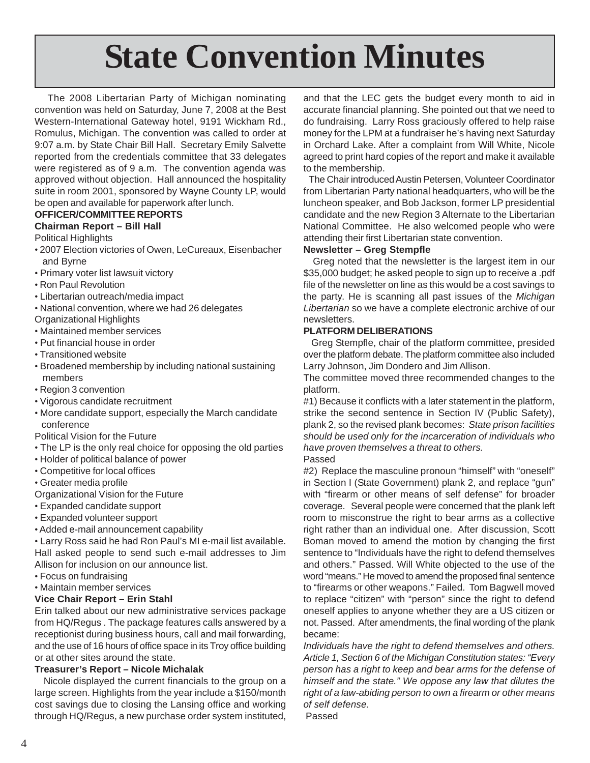# **State Convention Minutes**

 The 2008 Libertarian Party of Michigan nominating convention was held on Saturday, June 7, 2008 at the Best Western-International Gateway hotel, 9191 Wickham Rd., Romulus, Michigan. The convention was called to order at 9:07 a.m. by State Chair Bill Hall. Secretary Emily Salvette reported from the credentials committee that 33 delegates were registered as of 9 a.m. The convention agenda was approved without objection. Hall announced the hospitality suite in room 2001, sponsored by Wayne County LP, would be open and available for paperwork after lunch.

#### **OFFICER/COMMITTEE REPORTS**

#### **Chairman Report – Bill Hall**

Political Highlights

- 2007 Election victories of Owen, LeCureaux, Eisenbacher and Byrne
- Primary voter list lawsuit victory
- Ron Paul Revolution
- Libertarian outreach/media impact
- National convention, where we had 26 delegates
- Organizational Highlights
- Maintained member services
- Put financial house in order
- Transitioned website
- Broadened membership by including national sustaining members
- Region 3 convention
- Vigorous candidate recruitment
- More candidate support, especially the March candidate conference

Political Vision for the Future

- The LP is the only real choice for opposing the old parties
- Holder of political balance of power
- Competitive for local offices
- Greater media profile
- Organizational Vision for the Future
- Expanded candidate support
- Expanded volunteer support
- Added e-mail announcement capability

• Larry Ross said he had Ron Paul's MI e-mail list available. Hall asked people to send such e-mail addresses to Jim Allison for inclusion on our announce list.

- Focus on fundraising
- Maintain member services

#### **Vice Chair Report – Erin Stahl**

Erin talked about our new administrative services package from HQ/Regus . The package features calls answered by a receptionist during business hours, call and mail forwarding, and the use of 16 hours of office space in its Troy office building or at other sites around the state.

#### **Treasurer's Report – Nicole Michalak**

 Nicole displayed the current financials to the group on a large screen. Highlights from the year include a \$150/month cost savings due to closing the Lansing office and working through HQ/Regus, a new purchase order system instituted,

and that the LEC gets the budget every month to aid in accurate financial planning. She pointed out that we need to do fundraising. Larry Ross graciously offered to help raise money for the LPM at a fundraiser he's having next Saturday in Orchard Lake. After a complaint from Will White, Nicole agreed to print hard copies of the report and make it available to the membership.

 The Chair introduced Austin Petersen, Volunteer Coordinator from Libertarian Party national headquarters, who will be the luncheon speaker, and Bob Jackson, former LP presidential candidate and the new Region 3 Alternate to the Libertarian National Committee. He also welcomed people who were attending their first Libertarian state convention.

#### **Newsletter – Greg Stempfle**

 Greg noted that the newsletter is the largest item in our \$35,000 budget; he asked people to sign up to receive a .pdf file of the newsletter on line as this would be a cost savings to the party. He is scanning all past issues of the *Michigan Libertarian* so we have a complete electronic archive of our newsletters.

#### **PLATFORM DELIBERATIONS**

 Greg Stempfle, chair of the platform committee, presided over the platform debate. The platform committee also included Larry Johnson, Jim Dondero and Jim Allison.

The committee moved three recommended changes to the platform.

#1) Because it conflicts with a later statement in the platform, strike the second sentence in Section IV (Public Safety), plank 2, so the revised plank becomes: *State prison facilities should be used only for the incarceration of individuals who have proven themselves a threat to others.*

#### Passed

#2) Replace the masculine pronoun "himself" with "oneself" in Section I (State Government) plank 2, and replace "gun" with "firearm or other means of self defense" for broader coverage. Several people were concerned that the plank left room to misconstrue the right to bear arms as a collective right rather than an individual one. After discussion, Scott Boman moved to amend the motion by changing the first sentence to "Individuals have the right to defend themselves and others." Passed. Will White objected to the use of the word "means." He moved to amend the proposed final sentence to "firearms or other weapons." Failed. Tom Bagwell moved to replace "citizen" with "person" since the right to defend oneself applies to anyone whether they are a US citizen or not. Passed. After amendments, the final wording of the plank became:

*Individuals have the right to defend themselves and others. Article 1, Section 6 of the Michigan Constitution states: "Every person has a right to keep and bear arms for the defense of himself and the state." We oppose any law that dilutes the right of a law-abiding person to own a firearm or other means of self defense.*

Passed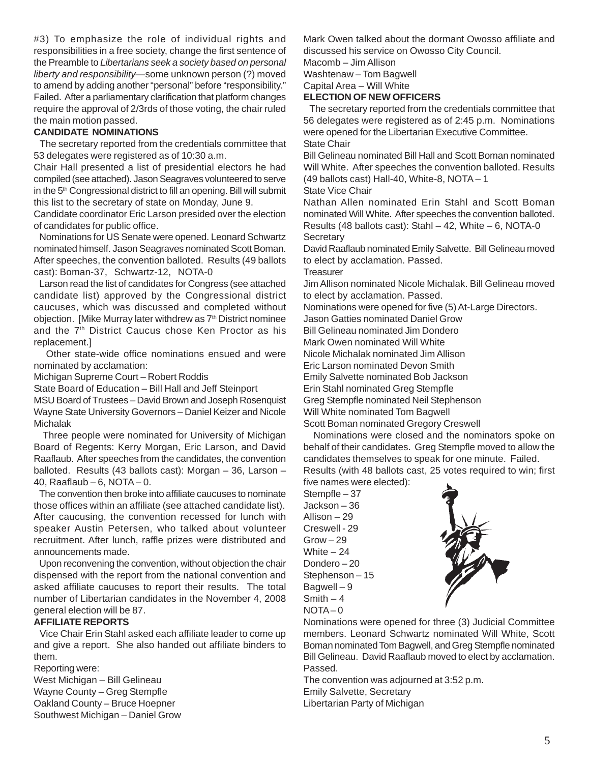#3) To emphasize the role of individual rights and responsibilities in a free society, change the first sentence of the Preamble to *Libertarians seek a society based on personal liberty and responsibility*—some unknown person (?) moved to amend by adding another "personal" before "responsibility." Failed. After a parliamentary clarification that platform changes require the approval of 2/3rds of those voting, the chair ruled the main motion passed.

#### **CANDIDATE NOMINATIONS**

 The secretary reported from the credentials committee that 53 delegates were registered as of 10:30 a.m.

Chair Hall presented a list of presidential electors he had compiled (see attached). Jason Seagraves volunteered to serve in the 5<sup>th</sup> Congressional district to fill an opening. Bill will submit this list to the secretary of state on Monday, June 9.

Candidate coordinator Eric Larson presided over the election of candidates for public office.

 Nominations for US Senate were opened. Leonard Schwartz nominated himself. Jason Seagraves nominated Scott Boman. After speeches, the convention balloted. Results (49 ballots cast): Boman-37, Schwartz-12, NOTA-0

 Larson read the list of candidates for Congress (see attached candidate list) approved by the Congressional district caucuses, which was discussed and completed without objection. [Mike Murray later withdrew as 7<sup>th</sup> District nominee and the 7<sup>th</sup> District Caucus chose Ken Proctor as his replacement.]

 Other state-wide office nominations ensued and were nominated by acclamation:

Michigan Supreme Court – Robert Roddis

State Board of Education – Bill Hall and Jeff Steinport

MSU Board of Trustees – David Brown and Joseph Rosenquist Wayne State University Governors – Daniel Keizer and Nicole Michalak

 Three people were nominated for University of Michigan Board of Regents: Kerry Morgan, Eric Larson, and David Raaflaub. After speeches from the candidates, the convention balloted. Results (43 ballots cast): Morgan – 36, Larson – 40, Raaflaub – 6, NOTA – 0.

 The convention then broke into affiliate caucuses to nominate those offices within an affiliate (see attached candidate list). After caucusing, the convention recessed for lunch with speaker Austin Petersen, who talked about volunteer recruitment. After lunch, raffle prizes were distributed and announcements made.

 Upon reconvening the convention, without objection the chair dispensed with the report from the national convention and asked affiliate caucuses to report their results. The total number of Libertarian candidates in the November 4, 2008 general election will be 87.

#### **AFFILIATE REPORTS**

 Vice Chair Erin Stahl asked each affiliate leader to come up and give a report. She also handed out affiliate binders to them.

Reporting were:

West Michigan – Bill Gelineau Wayne County – Greg Stempfle Oakland County – Bruce Hoepner Southwest Michigan – Daniel Grow Mark Owen talked about the dormant Owosso affiliate and discussed his service on Owosso City Council.

Macomb – Jim Allison

Washtenaw – Tom Bagwell

Capital Area – Will White

#### **ELECTION OF NEW OFFICERS**

 The secretary reported from the credentials committee that 56 delegates were registered as of 2:45 p.m. Nominations were opened for the Libertarian Executive Committee. State Chair

Bill Gelineau nominated Bill Hall and Scott Boman nominated Will White. After speeches the convention balloted. Results (49 ballots cast) Hall-40, White-8, NOTA – 1

#### State Vice Chair

Nathan Allen nominated Erin Stahl and Scott Boman nominated Will White. After speeches the convention balloted. Results (48 ballots cast): Stahl  $-42$ , White  $-6$ , NOTA-0 **Secretary** 

David Raaflaub nominated Emily Salvette. Bill Gelineau moved to elect by acclamation. Passed.

**Treasurer** 

Jim Allison nominated Nicole Michalak. Bill Gelineau moved to elect by acclamation. Passed.

Nominations were opened for five (5) At-Large Directors.

Jason Gatties nominated Daniel Grow

Bill Gelineau nominated Jim Dondero

Mark Owen nominated Will White

Nicole Michalak nominated Jim Allison

Eric Larson nominated Devon Smith

Emily Salvette nominated Bob Jackson

Erin Stahl nominated Greg Stempfle

Greg Stempfle nominated Neil Stephenson

Will White nominated Tom Bagwell

Scott Boman nominated Gregory Creswell

 Nominations were closed and the nominators spoke on behalf of their candidates. Greg Stempfle moved to allow the candidates themselves to speak for one minute. Failed. Results (with 48 ballots cast, 25 votes required to win; first

five names were elected):

Stempfle – 37 Jackson – 36 Allison – 29 Creswell - 29  $Grow - 29$ White  $-24$ Dondero – 20 Stephenson – 15 Bagwell – 9  $Smith - 4$  $NOTA - 0$ 



Nominations were opened for three (3) Judicial Committee members. Leonard Schwartz nominated Will White, Scott Boman nominated Tom Bagwell, and Greg Stempfle nominated Bill Gelineau. David Raaflaub moved to elect by acclamation. Passed.

The convention was adjourned at 3:52 p.m. Emily Salvette, Secretary Libertarian Party of Michigan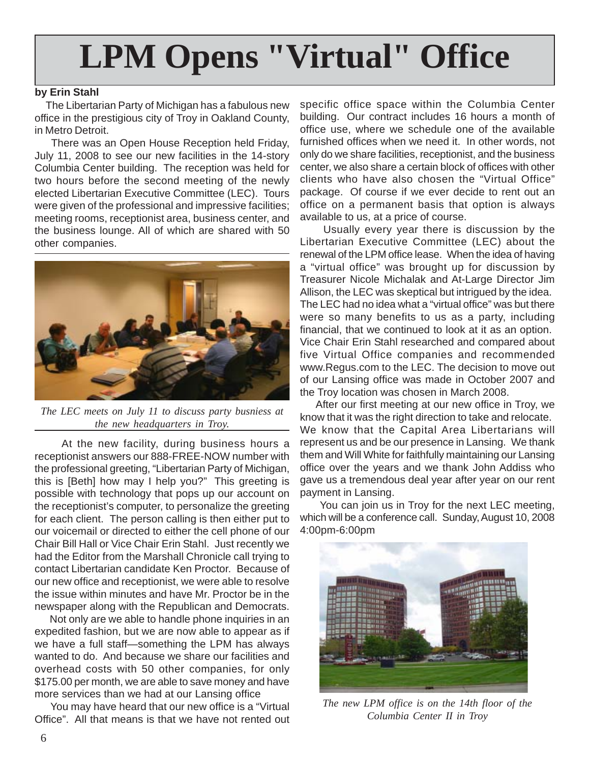# **LPM Opens "Virtual" Office**

#### **by Erin Stahl**

 The Libertarian Party of Michigan has a fabulous new office in the prestigious city of Troy in Oakland County, in Metro Detroit.

 There was an Open House Reception held Friday, July 11, 2008 to see our new facilities in the 14-story Columbia Center building. The reception was held for two hours before the second meeting of the newly elected Libertarian Executive Committee (LEC). Tours were given of the professional and impressive facilities; meeting rooms, receptionist area, business center, and the business lounge. All of which are shared with 50 other companies.



*The LEC meets on July 11 to discuss party busniess at the new headquarters in Troy.*

 At the new facility, during business hours a receptionist answers our 888-FREE-NOW number with the professional greeting, "Libertarian Party of Michigan, this is [Beth] how may I help you?" This greeting is possible with technology that pops up our account on the receptionist's computer, to personalize the greeting for each client. The person calling is then either put to our voicemail or directed to either the cell phone of our Chair Bill Hall or Vice Chair Erin Stahl. Just recently we had the Editor from the Marshall Chronicle call trying to contact Libertarian candidate Ken Proctor. Because of our new office and receptionist, we were able to resolve the issue within minutes and have Mr. Proctor be in the newspaper along with the Republican and Democrats.

 Not only are we able to handle phone inquiries in an expedited fashion, but we are now able to appear as if we have a full staff—something the LPM has always wanted to do. And because we share our facilities and overhead costs with 50 other companies, for only \$175.00 per month, we are able to save money and have more services than we had at our Lansing office

 You may have heard that our new office is a "Virtual Office". All that means is that we have not rented out

specific office space within the Columbia Center building. Our contract includes 16 hours a month of office use, where we schedule one of the available furnished offices when we need it. In other words, not only do we share facilities, receptionist, and the business center, we also share a certain block of offices with other clients who have also chosen the "Virtual Office" package. Of course if we ever decide to rent out an office on a permanent basis that option is always available to us, at a price of course.

 Usually every year there is discussion by the Libertarian Executive Committee (LEC) about the renewal of the LPM office lease. When the idea of having a "virtual office" was brought up for discussion by Treasurer Nicole Michalak and At-Large Director Jim Allison, the LEC was skeptical but intrigued by the idea. The LEC had no idea what a "virtual office" was but there were so many benefits to us as a party, including financial, that we continued to look at it as an option. Vice Chair Erin Stahl researched and compared about five Virtual Office companies and recommended www.Regus.com to the LEC. The decision to move out of our Lansing office was made in October 2007 and the Troy location was chosen in March 2008.

 After our first meeting at our new office in Troy, we know that it was the right direction to take and relocate. We know that the Capital Area Libertarians will represent us and be our presence in Lansing. We thank them and Will White for faithfully maintaining our Lansing office over the years and we thank John Addiss who gave us a tremendous deal year after year on our rent payment in Lansing.

 You can join us in Troy for the next LEC meeting, which will be a conference call. Sunday, August 10, 2008 4:00pm-6:00pm



*The new LPM office is on the 14th floor of the Columbia Center II in Troy*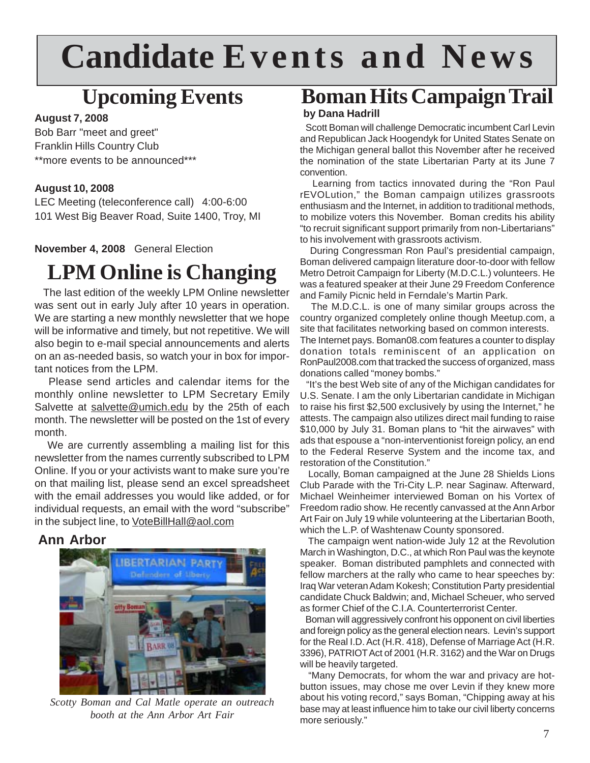# **Candidate Events and News**

### **Upcoming Events**

#### **August 7, 2008**

Bob Barr "meet and greet" Franklin Hills Country Club \*\*more events to be announced\*\*\*

#### **August 10, 2008**

LEC Meeting (teleconference call) 4:00-6:00 101 West Big Beaver Road, Suite 1400, Troy, MI

**November 4, 2008** General Election

### **LPM Online is Changing**

 The last edition of the weekly LPM Online newsletter was sent out in early July after 10 years in operation. We are starting a new monthly newsletter that we hope will be informative and timely, but not repetitive. We will also begin to e-mail special announcements and alerts on an as-needed basis, so watch your in box for important notices from the LPM.

 Please send articles and calendar items for the monthly online newsletter to LPM Secretary Emily Salvette at salvette@umich.edu by the 25th of each month. The newsletter will be posted on the 1st of every month.

We are currently assembling a mailing list for this newsletter from the names currently subscribed to LPM Online. If you or your activists want to make sure you're on that mailing list, please send an excel spreadsheet with the email addresses you would like added, or for individual requests, an email with the word "subscribe" in the subject line, to VoteBillHall@aol.com

#### **Ann Arbor**



*Scotty Boman and Cal Matle operate an outreach booth at the Ann Arbor Art Fair*

### **Boman Hits Campaign Trail**

#### **by Dana Hadrill**

 Scott Boman will challenge Democratic incumbent Carl Levin and Republican Jack Hoogendyk for United States Senate on the Michigan general ballot this November after he received the nomination of the state Libertarian Party at its June 7 convention.

 Learning from tactics innovated during the "Ron Paul rEVOLution," the Boman campaign utilizes grassroots enthusiasm and the Internet, in addition to traditional methods, to mobilize voters this November. Boman credits his ability "to recruit significant support primarily from non-Libertarians" to his involvement with grassroots activism.

 During Congressman Ron Paul's presidential campaign, Boman delivered campaign literature door-to-door with fellow Metro Detroit Campaign for Liberty (M.D.C.L.) volunteers. He was a featured speaker at their June 29 Freedom Conference and Family Picnic held in Ferndale's Martin Park.

 The M.D.C.L. is one of many similar groups across the country organized completely online though Meetup.com, a site that facilitates networking based on common interests. The Internet pays. Boman08.com features a counter to display donation totals reminiscent of an application on RonPaul2008.com that tracked the success of organized, mass donations called "money bombs."

 "It's the best Web site of any of the Michigan candidates for U.S. Senate. I am the only Libertarian candidate in Michigan to raise his first \$2,500 exclusively by using the Internet," he attests. The campaign also utilizes direct mail funding to raise \$10,000 by July 31. Boman plans to "hit the airwaves" with ads that espouse a "non-interventionist foreign policy, an end to the Federal Reserve System and the income tax, and restoration of the Constitution."

 Locally, Boman campaigned at the June 28 Shields Lions Club Parade with the Tri-City L.P. near Saginaw. Afterward, Michael Weinheimer interviewed Boman on his Vortex of Freedom radio show. He recently canvassed at the Ann Arbor Art Fair on July 19 while volunteering at the Libertarian Booth, which the L.P. of Washtenaw County sponsored.

 The campaign went nation-wide July 12 at the Revolution March in Washington, D.C., at which Ron Paul was the keynote speaker. Boman distributed pamphlets and connected with fellow marchers at the rally who came to hear speeches by: Iraq War veteran Adam Kokesh; Constitution Party presidential candidate Chuck Baldwin; and, Michael Scheuer, who served as former Chief of the C.I.A. Counterterrorist Center.

 Boman will aggressively confront his opponent on civil liberties and foreign policy as the general election nears. Levin's support for the Real I.D. Act (H.R. 418), Defense of Marriage Act (H.R. 3396), PATRIOT Act of 2001 (H.R. 3162) and the War on Drugs will be heavily targeted.

 "Many Democrats, for whom the war and privacy are hotbutton issues, may chose me over Levin if they knew more about his voting record," says Boman, "Chipping away at his base may at least influence him to take our civil liberty concerns more seriously."